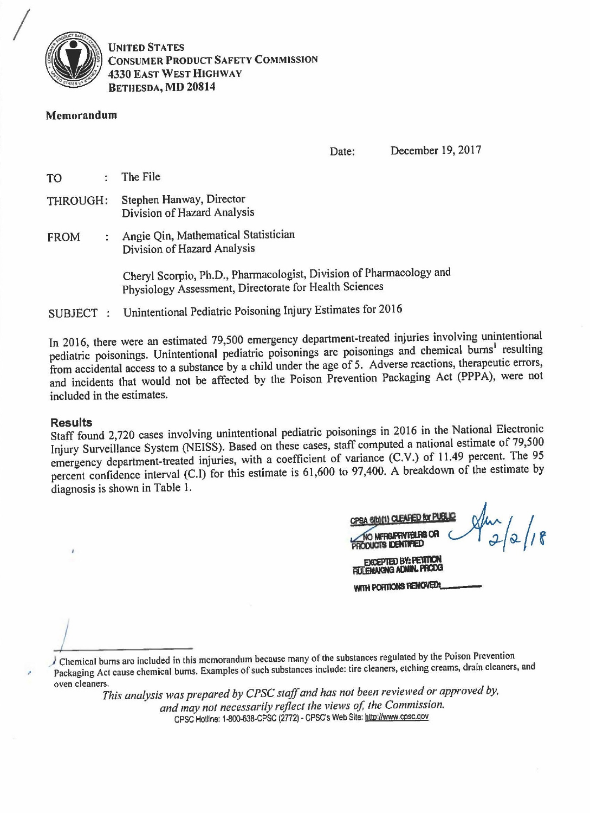

**UNITED STATES CONSUMER PRODUCT SAFETY COMMISSION 4330 EAST WEST HIGHWAY BETHESDA, MD 20814** 

#### Memorandum

December 19, 2017 Date:

The File **TO**  $\bullet$ 

- Stephen Hanway, Director **THROUGH:** Division of Hazard Analysis
- : Angie Qin, Mathematical Statistician **FROM** Division of Hazard Analysis

Cheryl Scorpio, Ph.D., Pharmacologist, Division of Pharmacology and Physiology Assessment, Directorate for Health Sciences

Unintentional Pediatric Poisoning Injury Estimates for 2016 SUBJECT :

In 2016, there were an estimated 79,500 emergency department-treated injuries involving unintentional pediatric poisonings. Unintentional pediatric poisonings are poisonings and chemical burns<sup>1</sup> resulting from accidental access to a substance by a child under the age of 5. Adverse reactions, therapeutic errors, and incidents that would not be affected by the Poison Prevention Packaging Act (PPPA), were not included in the estimates.

#### **Results**

Staff found 2,720 cases involving unintentional pediatric poisonings in 2016 in the National Electronic Injury Surveillance System (NEISS). Based on these cases, staff computed a national estimate of 79,500 emergency department-treated injuries, with a coefficient of variance (C.V.) of 11.49 percent. The 95 percent confidence interval (C.I) for this estimate is 61,600 to 97,400. A breakdown of the estimate by diagnosis is shown in Table 1.

| CPSA 6(b)(1) CLEARED for PUB.                                   |  |  |
|-----------------------------------------------------------------|--|--|
| TIO MERGARRIVIBLES OR                                           |  |  |
| <b>EXCEPTED BY: PETITION</b><br><b>FIULEMAKING ADMIN. PRODG</b> |  |  |
| WITH PORTIONS REMOVED:                                          |  |  |

Chemical burns are included in this memorandum because many of the substances regulated by the Poison Prevention Packaging Act cause chemical burns. Examples of such substances include: tire cleaners, etching creams, drain cleaners, and oven cleaners.

This analysis was prepared by CPSC staff and has not been reviewed or approved by, and may not necessarily reflect the views of, the Commission. CPSC Hotline: 1-800-638-CPSC (2772) - CPSC's Web Site: http://www.cpsc.gov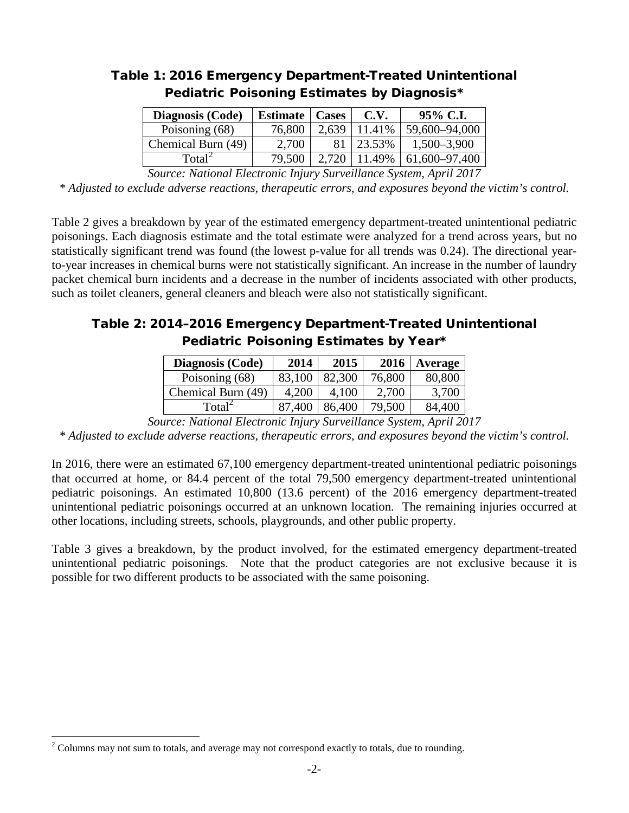| Diagnosis (Code)   | <b>Estimate</b>   Cases |       | C.V.   | 95% C.I.      |
|--------------------|-------------------------|-------|--------|---------------|
| Poisoning (68)     | 76,800                  | 2,639 | 11.41% | 59,600-94,000 |
| Chemical Burn (49) | 2,700                   | 81    | 23.53% | 1,500-3,900   |
| Total <sup>2</sup> | 79,500                  | 2.720 | 11.49% | 61,600–97,400 |
|                    |                         |       |        |               |

# Table 1: 2016 Emergency Department-Treated Unintentional Pediatric Poisoning Estimates by Diagnosis\*

*Source: National Electronic Injury Surveillance System, April 2017*

*\* Adjusted to exclude adverse reactions, therapeutic errors, and exposures beyond the victim's control.*

Table 2 gives a breakdown by year of the estimated emergency department-treated unintentional pediatric poisonings. Each diagnosis estimate and the total estimate were analyzed for a trend across years, but no statistically significant trend was found (the lowest p-value for all trends was 0.24). The directional yearto-year increases in chemical burns were not statistically significant. An increase in the number of laundry packet chemical burn incidents and a decrease in the number of incidents associated with other products, such as toilet cleaners, general cleaners and bleach were also not statistically significant.

# Table 2: 2014–2016 Emergency Department-Treated Unintentional Pediatric Poisoning Estimates by Year\*

| Diagnosis (Code)   | 2014   | 2015   | 2016   | Average |
|--------------------|--------|--------|--------|---------|
| Poisoning (68)     | 83,100 | 82,300 | 76,800 | 80,800  |
| Chemical Burn (49) | 4,200  | 4.100  | 2,700  | 3,700   |
| Total <sup>2</sup> | 87,400 | 86,400 | 79,500 | 84,400  |

*Source: National Electronic Injury Surveillance System, April 2017*

*\* Adjusted to exclude adverse reactions, therapeutic errors, and exposures beyond the victim's control.*

In 2016, there were an estimated 67,100 emergency department-treated unintentional pediatric poisonings that occurred at home, or 84.4 percent of the total 79,500 emergency department-treated unintentional pediatric poisonings. An estimated 10,800 (13.6 percent) of the 2016 emergency department-treated unintentional pediatric poisonings occurred at an unknown location. The remaining injuries occurred at other locations, including streets, schools, playgrounds, and other public property.

Table 3 gives a breakdown, by the product involved, for the estimated emergency department-treated unintentional pediatric poisonings. Note that the product categories are not exclusive because it is possible for two different products to be associated with the same poisoning.

<span id="page-1-0"></span> $2$  Columns may not sum to totals, and average may not correspond exactly to totals, due to rounding.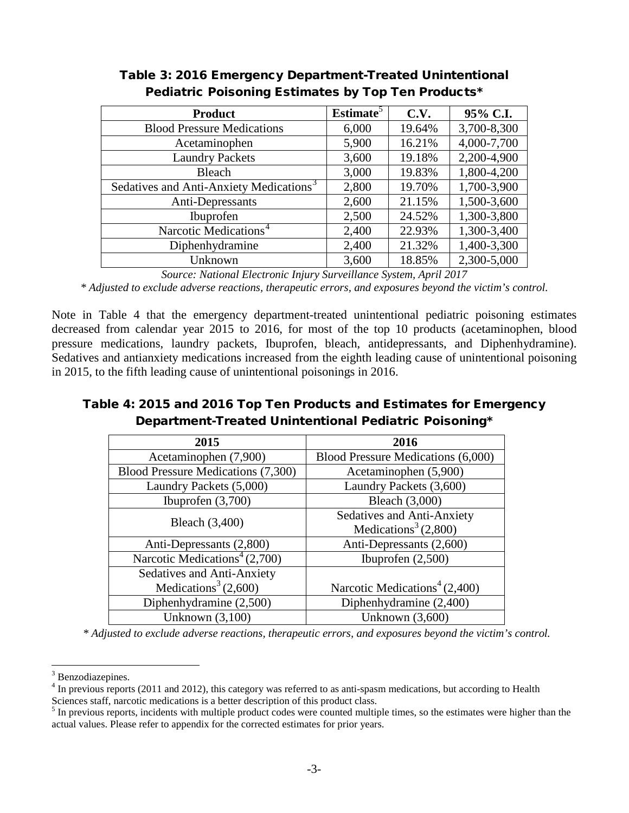| <b>Product</b>                                      | <b>Estimate</b> <sup>5</sup> | C.V.   | 95% C.I.    |
|-----------------------------------------------------|------------------------------|--------|-------------|
| <b>Blood Pressure Medications</b>                   | 6,000                        | 19.64% | 3,700-8,300 |
| Acetaminophen                                       | 5,900                        | 16.21% | 4,000-7,700 |
| <b>Laundry Packets</b>                              | 3,600                        | 19.18% | 2,200-4,900 |
| <b>Bleach</b>                                       | 3,000                        | 19.83% | 1,800-4,200 |
| Sedatives and Anti-Anxiety Medications <sup>3</sup> | 2,800                        | 19.70% | 1,700-3,900 |
| Anti-Depressants                                    | 2,600                        | 21.15% | 1,500-3,600 |
| Ibuprofen                                           | 2,500                        | 24.52% | 1,300-3,800 |
| Narcotic Medications <sup>4</sup>                   | 2,400                        | 22.93% | 1,300-3,400 |
| Diphenhydramine                                     | 2,400                        | 21.32% | 1,400-3,300 |
| Unknown                                             | 3,600                        | 18.85% | 2,300-5,000 |

## Table 3: 2016 Emergency Department-Treated Unintentional Pediatric Poisoning Estimates by Top Ten Products\*

*Source: National Electronic Injury Surveillance System, April 2017*

*\* Adjusted to exclude adverse reactions, therapeutic errors, and exposures beyond the victim's control.*

Note in Table 4 that the emergency department-treated unintentional pediatric poisoning estimates decreased from calendar year 2015 to 2016, for most of the top 10 products (acetaminophen, blood pressure medications, laundry packets, Ibuprofen, bleach, antidepressants, and Diphenhydramine). Sedatives and antianxiety medications increased from the eighth leading cause of unintentional poisoning in 2015, to the fifth leading cause of unintentional poisonings in 2016.

## Table 4: 2015 and 2016 Top Ten Products and Estimates for Emergency Department-Treated Unintentional Pediatric Poisoning\*

| 2015                                        | 2016                                        |  |  |
|---------------------------------------------|---------------------------------------------|--|--|
| Acetaminophen (7,900)                       | Blood Pressure Medications (6,000)          |  |  |
| Blood Pressure Medications (7,300)          | Acetaminophen (5,900)                       |  |  |
| Laundry Packets (5,000)                     | Laundry Packets (3,600)                     |  |  |
| Ibuprofen $(3,700)$                         | Bleach (3,000)                              |  |  |
| Bleach (3,400)                              | Sedatives and Anti-Anxiety                  |  |  |
|                                             | Medications <sup>3</sup> $(2,800)$          |  |  |
| Anti-Depressants (2,800)                    | Anti-Depressants (2,600)                    |  |  |
| Narcotic Medications <sup>4</sup> $(2,700)$ | Ibuprofen $(2,500)$                         |  |  |
| Sedatives and Anti-Anxiety                  |                                             |  |  |
| Medications <sup>3</sup> $(2,600)$          | Narcotic Medications <sup>4</sup> $(2,400)$ |  |  |
| Diphenhydramine (2,500)                     | Diphenhydramine (2,400)                     |  |  |
| Unknown $(3,100)$                           | Unknown $(3,600)$                           |  |  |

 *\* Adjusted to exclude adverse reactions, therapeutic errors, and exposures beyond the victim's control.*

<span id="page-2-0"></span><sup>&</sup>lt;sup>3</sup> Benzodiazepines.

 $4 \text{ In previous reports } (2011 \text{ and } 2012)$ , this category was referred to as anti-spasm medications, but according to Health Sciences staff, narcotic medications is a better description of this product class.

<span id="page-2-1"></span><sup>&</sup>lt;sup>5</sup> In previous reports, incidents with multiple product codes were counted multiple times, so the estimates were higher than the actual values. Please refer to appendix for the corrected estimates for prior years.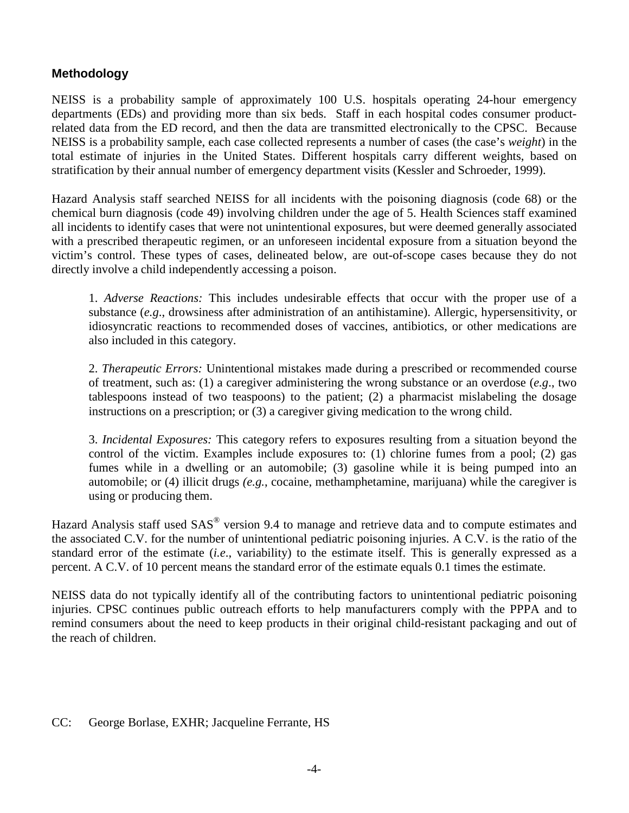## **Methodology**

NEISS is a probability sample of approximately 100 U.S. hospitals operating 24-hour emergency departments (EDs) and providing more than six beds. Staff in each hospital codes consumer productrelated data from the ED record, and then the data are transmitted electronically to the CPSC. Because NEISS is a probability sample, each case collected represents a number of cases (the case's *weight*) in the total estimate of injuries in the United States. Different hospitals carry different weights, based on stratification by their annual number of emergency department visits (Kessler and Schroeder, 1999).

Hazard Analysis staff searched NEISS for all incidents with the poisoning diagnosis (code 68) or the chemical burn diagnosis (code 49) involving children under the age of 5. Health Sciences staff examined all incidents to identify cases that were not unintentional exposures, but were deemed generally associated with a prescribed therapeutic regimen, or an unforeseen incidental exposure from a situation beyond the victim's control. These types of cases, delineated below, are out-of-scope cases because they do not directly involve a child independently accessing a poison.

1. *Adverse Reactions:* This includes undesirable effects that occur with the proper use of a substance (*e.g*., drowsiness after administration of an antihistamine). Allergic, hypersensitivity, or idiosyncratic reactions to recommended doses of vaccines, antibiotics, or other medications are also included in this category.

2. *Therapeutic Errors:* Unintentional mistakes made during a prescribed or recommended course of treatment, such as: (1) a caregiver administering the wrong substance or an overdose (*e.g*., two tablespoons instead of two teaspoons) to the patient; (2) a pharmacist mislabeling the dosage instructions on a prescription; or (3) a caregiver giving medication to the wrong child.

3. *Incidental Exposures:* This category refers to exposures resulting from a situation beyond the control of the victim. Examples include exposures to: (1) chlorine fumes from a pool; (2) gas fumes while in a dwelling or an automobile; (3) gasoline while it is being pumped into an automobile; or (4) illicit drugs *(e.g.*, cocaine, methamphetamine, marijuana) while the caregiver is using or producing them.

Hazard Analysis staff used SAS® version 9.4 to manage and retrieve data and to compute estimates and the associated C.V. for the number of unintentional pediatric poisoning injuries. A C.V. is the ratio of the standard error of the estimate (*i.e*., variability) to the estimate itself. This is generally expressed as a percent. A C.V. of 10 percent means the standard error of the estimate equals 0.1 times the estimate.

NEISS data do not typically identify all of the contributing factors to unintentional pediatric poisoning injuries. CPSC continues public outreach efforts to help manufacturers comply with the PPPA and to remind consumers about the need to keep products in their original child-resistant packaging and out of the reach of children.

#### CC: George Borlase, EXHR; Jacqueline Ferrante, HS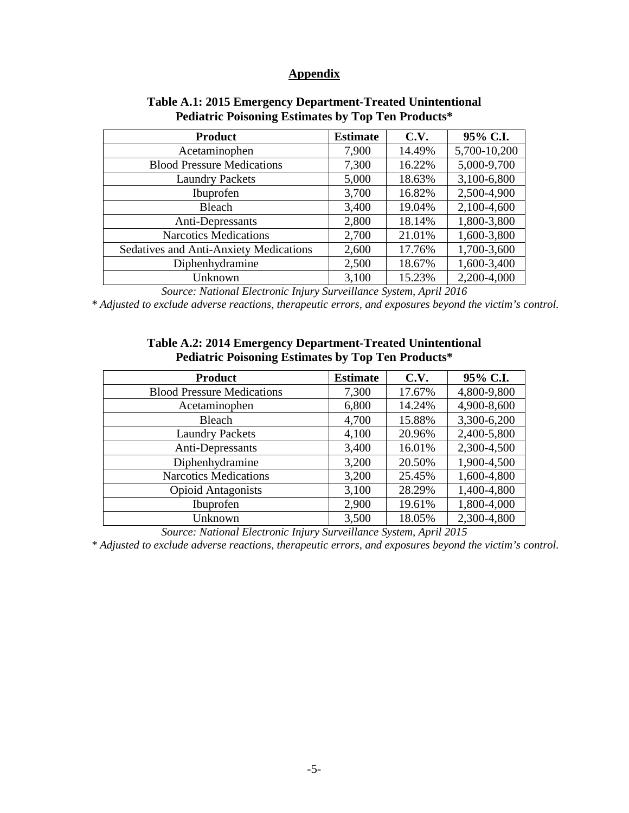## **Appendix**

| <b>Product</b>                                | <b>Estimate</b> | C.V.   | 95% C.I.     |
|-----------------------------------------------|-----------------|--------|--------------|
| Acetaminophen                                 | 7,900           | 14.49% | 5,700-10,200 |
| <b>Blood Pressure Medications</b>             | 7,300           | 16.22% | 5,000-9,700  |
| <b>Laundry Packets</b>                        | 5,000           | 18.63% | 3,100-6,800  |
| Ibuprofen                                     | 3,700           | 16.82% | 2,500-4,900  |
| Bleach                                        | 3,400           | 19.04% | 2,100-4,600  |
| Anti-Depressants                              | 2,800           | 18.14% | 1,800-3,800  |
| <b>Narcotics Medications</b>                  | 2,700           | 21.01% | 1,600-3,800  |
| <b>Sedatives and Anti-Anxiety Medications</b> | 2,600           | 17.76% | 1,700-3,600  |
| Diphenhydramine                               | 2,500           | 18.67% | 1,600-3,400  |
| Unknown                                       | 3,100           | 15.23% | 2,200-4,000  |

## **Table A.1: 2015 Emergency Department-Treated Unintentional Pediatric Poisoning Estimates by Top Ten Products\***

*Source: National Electronic Injury Surveillance System, April 2016*

 *\* Adjusted to exclude adverse reactions, therapeutic errors, and exposures beyond the victim's control.*

### **Table A.2: 2014 Emergency Department-Treated Unintentional Pediatric Poisoning Estimates by Top Ten Products\***

| <b>Product</b>                    | <b>Estimate</b> | C.V.   | 95% C.I.    |
|-----------------------------------|-----------------|--------|-------------|
| <b>Blood Pressure Medications</b> | 7,300           | 17.67% | 4,800-9,800 |
| Acetaminophen                     | 6,800           | 14.24% | 4,900-8,600 |
| <b>Bleach</b>                     | 4,700           | 15.88% | 3,300-6,200 |
| <b>Laundry Packets</b>            | 4,100           | 20.96% | 2,400-5,800 |
| Anti-Depressants                  | 3,400           | 16.01% | 2,300-4,500 |
| Diphenhydramine                   | 3,200           | 20.50% | 1,900-4,500 |
| <b>Narcotics Medications</b>      | 3,200           | 25.45% | 1,600-4,800 |
| <b>Opioid Antagonists</b>         | 3,100           | 28.29% | 1,400-4,800 |
| Ibuprofen                         | 2,900           | 19.61% | 1,800-4,000 |
| Unknown                           | 3,500           | 18.05% | 2,300-4,800 |

*Source: National Electronic Injury Surveillance System, April 2015*

 *\* Adjusted to exclude adverse reactions, therapeutic errors, and exposures beyond the victim's control.*